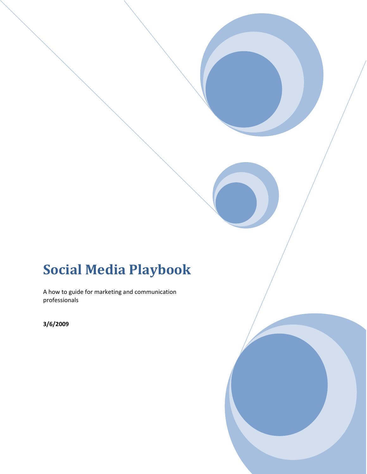# **Social Media Playbook**

A how to guide for marketing and communication professionals

the contract of the contract of the contract of

**3/6/2009**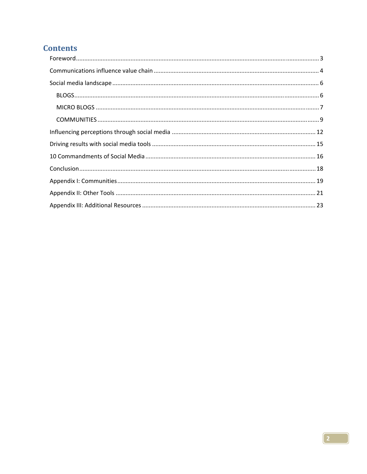# **Contents**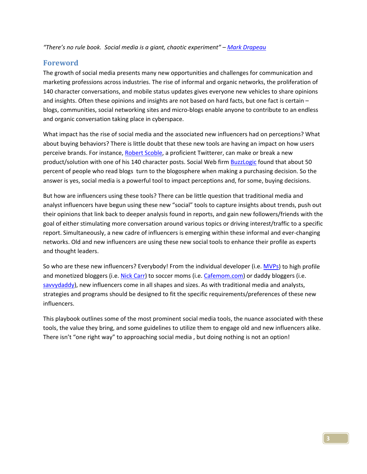*"There's no rule book. Social media is a giant, chaotic experiment" – Mark Drapeau*

#### **Foreword**

The growth of social media presents many new opportunities and challenges for communication and marketing professions across industries. The rise of informal and organic networks, the proliferation of 140 character conversations, and mobile status updates gives everyone new vehicles to share opinions and insights. Often these opinions and insights are not based on hard facts, but one fact is certain – blogs, communities, social networking sites and micro‐blogs enable anyone to contribute to an endless and organic conversation taking place in cyberspace.

What impact has the rise of social media and the associated new influencers had on perceptions? What about buying behaviors? There is little doubt that these new tools are having an impact on how users perceive brands. For instance, Robert Scoble, a proficient Twitterer, can make or break a new product/solution with one of his 140 character posts. Social Web firm BuzzLogic found that about 50 percent of people who read blogs turn to the blogosphere when making a purchasing decision. So the answer is yes, social media is a powerful tool to impact perceptions and, for some, buying decisions.

But how are influencers using these tools? There can be little question that traditional media and analyst influencers have begun using these new "social" tools to capture insights about trends, push out their opinions that link back to deeper analysis found in reports, and gain new followers/friends with the goal of either stimulating more conversation around various topics or driving interest/traffic to a specific report. Simultaneously, a new cadre of influencers is emerging within these informal and ever‐changing networks. Old and new influencers are using these new social tools to enhance their profile as experts and thought leaders.

So who are these new influencers? Everybody! From the individual developer (i.e. MVPs) to high profile and monetized bloggers (i.e. Nick Carr) to soccer moms (i.e. Cafemom.com) or daddy bloggers (i.e. savvydaddy), new influencers come in all shapes and sizes. As with traditional media and analysts, strategies and programs should be designed to fit the specific requirements/preferences of these new influencers.

This playbook outlines some of the most prominent social media tools, the nuance associated with these tools, the value they bring, and some guidelines to utilize them to engage old and new influencers alike. There isn't "one right way" to approaching social media , but doing nothing is not an option!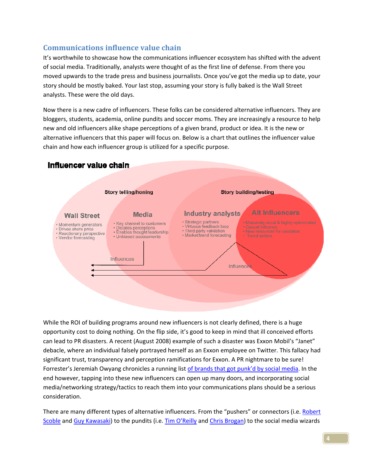### **Communications influence value chain**

It's worthwhile to showcase how the communications influencer ecosystem has shifted with the advent of social media. Traditionally, analysts were thought of as the first line of defense. From there you moved upwards to the trade press and business journalists. Once you've got the media up to date, your story should be mostly baked. Your last stop, assuming your story is fully baked is the Wall Street analysts. These were the old days.

Now there is a new cadre of influencers. These folks can be considered alternative influencers. They are bloggers, students, academia, online pundits and soccer moms. They are increasingly a resource to help new and old influencers alike shape perceptions of a given brand, product or idea. It is the new or alternative influencers that this paper will focus on. Below is a chart that outlines the influencer value chain and how each influencer group is utilized for a specific purpose.

## Influencer value chain



While the ROI of building programs around new influencers is not clearly defined, there is a huge opportunity cost to doing nothing. On the flip side, it's good to keep in mind that ill conceived efforts can lead to PR disasters. A recent (August 2008) example of such a disaster was Exxon Mobil's "Janet" debacle, where an individual falsely portrayed herself as an Exxon employee on Twitter. This fallacy had significant trust, transparency and perception ramifications for Exxon. A PR nightmare to be sure! Forrester's Jeremiah Owyang chronicles a running list of brands that got punk'd by social media. In the end however, tapping into these new influencers can open up many doors, and incorporating social media/networking strategy/tactics to reach them into your communications plans should be a serious consideration.

There are many different types of alternative influencers. From the "pushers" or connectors (i.e. Robert Scoble and Guy Kawasaki) to the pundits (i.e. Tim O'Reilly and Chris Brogan) to the social media wizards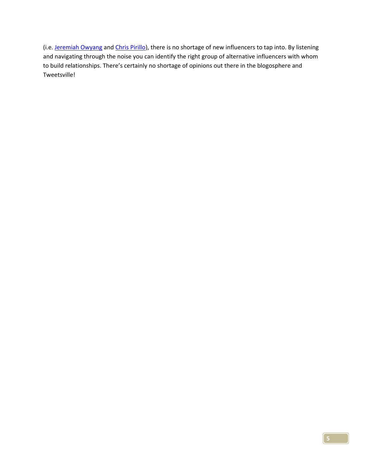(i.e. Jeremiah Owyang and Chris Pirillo), there is no shortage of new influencers to tap into. By listening and navigating through the noise you can identify the right group of alternative influencers with whom to build relationships. There's certainly no shortage of opinions out there in the blogosphere and Tweetsville!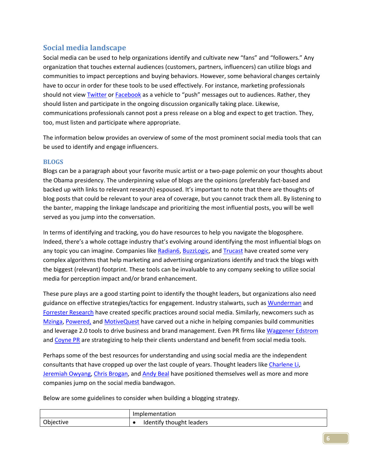## **Social media landscape**

Social media can be used to help organizations identify and cultivate new "fans" and "followers." Any organization that touches external audiences (customers, partners, influencers) can utilize blogs and communities to impact perceptions and buying behaviors. However, some behavioral changes certainly have to occur in order for these tools to be used effectively. For instance, marketing professionals should not view **Twitter or Facebook** as a vehicle to "push" messages out to audiences. Rather, they should listen and participate in the ongoing discussion organically taking place. Likewise, communications professionals cannot post a press release on a blog and expect to get traction. They, too, must listen and participate where appropriate.

The information below provides an overview of some of the most prominent social media tools that can be used to identify and engage influencers.

#### **BLOGS**

Blogs can be a paragraph about your favorite music artist or a two‐page polemic on your thoughts about the Obama presidency. The underpinning value of blogs are the opinions (preferably fact-based and backed up with links to relevant research) espoused. It's important to note that there are thoughts of blog posts that could be relevant to your area of coverage, but you cannot track them all. By listening to the banter, mapping the linkage landscape and prioritizing the most influential posts, you will be well served as you jump into the conversation.

In terms of identifying and tracking, you do have resources to help you navigate the blogosphere. Indeed, there's a whole cottage industry that's evolving around identifying the most influential blogs on any topic you can imagine. Companies like Radian6, BuzzLogic, and Trucast have created some very complex algorithms that help marketing and advertising organizations identify and track the blogs with the biggest (relevant) footprint. These tools can be invaluable to any company seeking to utilize social media for perception impact and/or brand enhancement.

These pure plays are a good starting point to identify the thought leaders, but organizations also need guidance on effective strategies/tactics for engagement. Industry stalwarts, such as Wunderman and Forrester Research have created specific practices around social media. Similarly, newcomers such as Mzinga, Powered, and MotiveQuest have carved out a niche in helping companies build communities and leverage 2.0 tools to drive business and brand management. Even PR firms like Waggener Edstrom and Coyne PR are strategizing to help their clients understand and benefit from social media tools.

Perhaps some of the best resources for understanding and using social media are the independent consultants that have cropped up over the last couple of years. Thought leaders like Charlene Li, Jeremiah Owyang, Chris Brogan, and Andy Beal have positioned themselves well as more and more companies jump on the social media bandwagon.

Below are some guidelines to consider when building a blogging strategy.

|           | Implementation           |
|-----------|--------------------------|
| Objective | Identify thought leaders |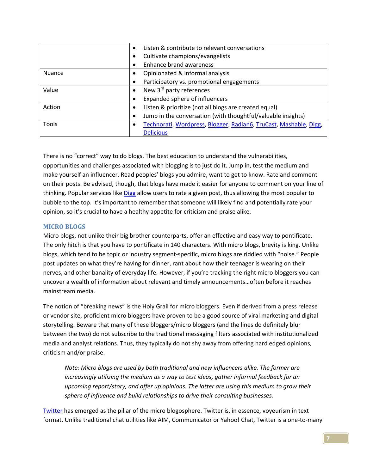|               | $\bullet$ | Listen & contribute to relevant conversations                     |  |  |
|---------------|-----------|-------------------------------------------------------------------|--|--|
|               | ٠         | Cultivate champions/evangelists                                   |  |  |
|               | $\bullet$ | <b>Enhance brand awareness</b>                                    |  |  |
| <b>Nuance</b> | ٠         | Opinionated & informal analysis                                   |  |  |
|               | ٠         | Participatory vs. promotional engagements                         |  |  |
| Value         | $\bullet$ | New 3 <sup>rd</sup> party references                              |  |  |
|               | ٠         | Expanded sphere of influencers                                    |  |  |
| Action        | $\bullet$ | Listen & prioritize (not all blogs are created equal)             |  |  |
|               |           | Jump in the conversation (with thoughtful/valuable insights)      |  |  |
| <b>Tools</b>  | $\bullet$ | Technorati, Wordpress, Blogger, Radian6, TruCast, Mashable, Digg, |  |  |
|               |           | <b>Delicious</b>                                                  |  |  |

There is no "correct" way to do blogs. The best education to understand the vulnerabilities, opportunities and challenges associated with blogging is to just do it. Jump in, test the medium and make yourself an influencer. Read peoples' blogs you admire, want to get to know. Rate and comment on their posts. Be advised, though, that blogs have made it easier for anyone to comment on your line of thinking. Popular services like Digg allow users to rate a given post, thus allowing the most popular to bubble to the top. It's important to remember that someone will likely find and potentially rate your opinion, so it's crucial to have a healthy appetite for criticism and praise alike.

#### **MICRO BLOGS**

Micro blogs, not unlike their big brother counterparts, offer an effective and easy way to pontificate. The only hitch is that you have to pontificate in 140 characters. With micro blogs, brevity is king. Unlike blogs, which tend to be topic or industry segment‐specific, micro blogs are riddled with "noise." People post updates on what they're having for dinner, rant about how their teenager is wearing on their nerves, and other banality of everyday life. However, if you're tracking the right micro bloggers you can uncover a wealth of information about relevant and timely announcements…often before it reaches mainstream media.

The notion of "breaking news" is the Holy Grail for micro bloggers. Even if derived from a press release or vendor site, proficient micro bloggers have proven to be a good source of viral marketing and digital storytelling. Beware that many of these bloggers/micro bloggers (and the lines do definitely blur between the two) do not subscribe to the traditional messaging filters associated with institutionalized media and analyst relations. Thus, they typically do not shy away from offering hard edged opinions, criticism and/or praise.

*Note: Micro blogs are used by both traditional and new influencers alike. The former are increasingly utilizing the medium as a way to test ideas, gather informal feedback for an upcoming report/story, and offer up opinions. The latter are using this medium to grow their sphere of influence and build relationships to drive their consulting businesses.* 

Twitter has emerged as the pillar of the micro blogosphere. Twitter is, in essence, voyeurism in text format. Unlike traditional chat utilities like AIM, Communicator or Yahoo! Chat, Twitter is a one‐to‐many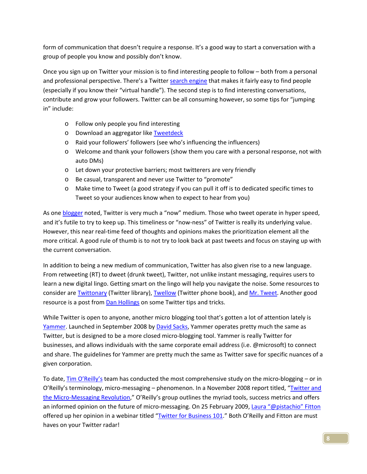form of communication that doesn't require a response. It's a good way to start a conversation with a group of people you know and possibly don't know.

Once you sign up on Twitter your mission is to find interesting people to follow – both from a personal and professional perspective. There's a Twitter search engine that makes it fairly easy to find people (especially if you know their "virtual handle"). The second step is to find interesting conversations, contribute and grow your followers. Twitter can be all consuming however, so some tips for "jumping in" include:

- o Follow only people you find interesting
- o Download an aggregator like Tweetdeck
- o Raid your followers' followers (see who's influencing the influencers)
- o Welcome and thank your followers (show them you care with a personal response, not with auto DMs)
- o Let down your protective barriers; most twitterers are very friendly
- o Be casual, transparent and never use Twitter to "promote"
- o Make time to Tweet (a good strategy if you can pull it off is to dedicated specific times to Tweet so your audiences know when to expect to hear from you)

As one blogger noted, Twitter is very much a "now" medium. Those who tweet operate in hyper speed, and it's futile to try to keep up. This timeliness or "now-ness" of Twitter is really its underlying value. However, this near real-time feed of thoughts and opinions makes the prioritization element all the more critical. A good rule of thumb is to not try to look back at past tweets and focus on staying up with the current conversation.

In addition to being a new medium of communication, Twitter has also given rise to a new language. From retweeting (RT) to dweet (drunk tweet), Twitter, not unlike instant messaging, requires users to learn a new digital lingo. Getting smart on the lingo will help you navigate the noise. Some resources to consider are Twittonary (Twitter library), Twellow (Twitter phone book), and Mr. Tweet. Another good resource is a post from **Dan Hollings** on some Twitter tips and tricks.

While Twitter is open to anyone, another micro blogging tool that's gotten a lot of attention lately is Yammer. Launched in September 2008 by David Sacks, Yammer operates pretty much the same as Twitter, but is designed to be a more closed micro‐blogging tool. Yammer is really Twitter for businesses, and allows individuals with the same corporate email address (i.e. @microsoft) to connect and share. The guidelines for Yammer are pretty much the same as Twitter save for specific nuances of a given corporation.

To date, Tim O'Reilly's team has conducted the most comprehensive study on the micro-blogging – or in O'Reilly's terminology, micro‐messaging – phenomenon. In a November 2008 report titled, "Twitter and the Micro-Messaging Revolution," O'Reilly's group outlines the myriad tools, success metrics and offers an informed opinion on the future of micro-messaging. On 25 February 2009, Laura "@pistachio" Fitton offered up her opinion in a webinar titled "Twitter for Business 101." Both O'Reilly and Fitton are must haves on your Twitter radar!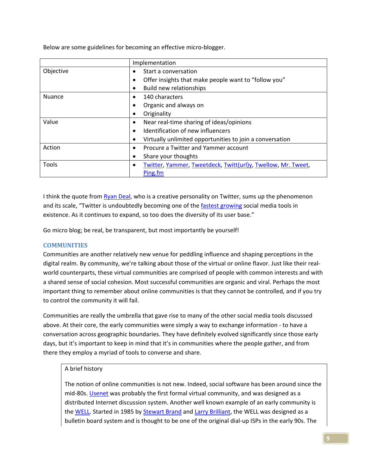Below are some guidelines for becoming an effective micro‐blogger.

|               | Implementation                                                            |  |
|---------------|---------------------------------------------------------------------------|--|
| Objective     | Start a conversation<br>$\bullet$                                         |  |
|               | Offer insights that make people want to "follow you"<br>٠                 |  |
|               | Build new relationships                                                   |  |
| <b>Nuance</b> | 140 characters<br>$\bullet$                                               |  |
|               | Organic and always on<br>$\bullet$                                        |  |
|               | Originality<br>$\bullet$                                                  |  |
| Value         | Near real-time sharing of ideas/opinions<br>$\bullet$                     |  |
|               | Identification of new influencers<br>$\bullet$                            |  |
|               | Virtually unlimited opportunities to join a conversation                  |  |
| Action        | Procure a Twitter and Yammer account<br>$\bullet$                         |  |
|               | Share your thoughts<br>$\bullet$                                          |  |
| Tools         | Twitter, Yammer, Tweetdeck, Twitt(url)y, Twellow, Mr. Tweet,<br>$\bullet$ |  |
|               | Ping.fm                                                                   |  |

I think the quote from Ryan Deal, who is a creative personality on Twitter, sums up the phenomenon and its scale, "Twitter is undoubtedly becoming one of the fastest growing social media tools in existence. As it continues to expand, so too does the diversity of its user base."

Go micro blog; be real, be transparent, but most importantly be yourself!

#### **COMMUNITIES**

Communities are another relatively new venue for peddling influence and shaping perceptions in the digital realm. By community, we're talking about those of the virtual or online flavor. Just like their real‐ world counterparts, these virtual communities are comprised of people with common interests and with a shared sense of social cohesion. Most successful communities are organic and viral. Perhaps the most important thing to remember about online communities is that they cannot be controlled, and if you try to control the community it will fail.

Communities are really the umbrella that gave rise to many of the other social media tools discussed above. At their core, the early communities were simply a way to exchange information ‐ to have a conversation across geographic boundaries. They have definitely evolved significantly since those early days, but it's important to keep in mind that it's in communities where the people gather, and from there they employ a myriad of tools to converse and share.

#### A brief history

The notion of online communities is not new. Indeed, social software has been around since the mid‐80s. Usenet was probably the first formal virtual community, and was designed as a distributed Internet discussion system. Another well known example of an early community is the WELL. Started in 1985 by Stewart Brand and Larry Brilliant, the WELL was designed as a bulletin board system and is thought to be one of the original dial‐up ISPs in the early 90s. The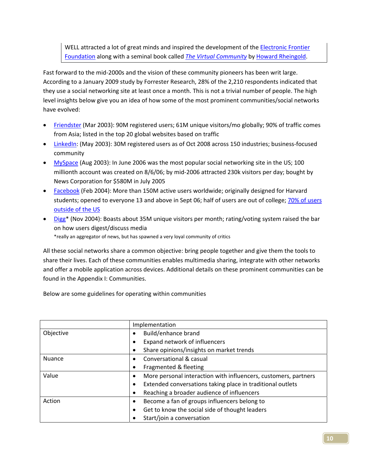WELL attracted a lot of great minds and inspired the development of the **Electronic Frontier** Foundation along with a seminal book called *The Virtual Community* by Howard Rheingold.

Fast forward to the mid‐2000s and the vision of these community pioneers has been writ large. According to a January 2009 study by Forrester Research, 28% of the 2,210 respondents indicated that they use a social networking site at least once a month. This is not a trivial number of people. The high level insights below give you an idea of how some of the most prominent communities/social networks have evolved:

- Friendster (Mar 2003): 90M registered users; 61M unique visitors/mo globally; 90% of traffic comes from Asia; listed in the top 20 global websites based on traffic
- LinkedIn: (May 2003): 30M registered users as of Oct 2008 across 150 industries; business‐focused community
- MySpace (Aug 2003): In June 2006 was the most popular social networking site in the US; 100 millionth account was created on 8/6/06; by mid‐2006 attracted 230k visitors per day; bought by News Corporation for \$580M in July 2005
- Facebook (Feb 2004): More than 150M active users worldwide; originally designed for Harvard students; opened to everyone 13 and above in Sept 06; half of users are out of college; 70% of users outside of the US
- Digg\* (Nov 2004): Boasts about 35M unique visitors per month; rating/voting system raised the bar on how users digest/discuss media \*really an aggregator of news, but has spawned a very loyal community of critics

All these social networks share a common objective: bring people together and give them the tools to share their lives. Each of these communities enables multimedia sharing, integrate with other networks and offer a mobile application across devices. Additional details on these prominent communities can be found in the Appendix I: Communities.

Below are some guidelines for operating within communities

|               | Implementation                                                          |  |
|---------------|-------------------------------------------------------------------------|--|
| Objective     | Build/enhance brand<br>٠                                                |  |
|               | Expand network of influencers<br>٠                                      |  |
|               | Share opinions/insights on market trends                                |  |
| <b>Nuance</b> | Conversational & casual<br>$\bullet$                                    |  |
|               | Fragmented & fleeting<br>٠                                              |  |
| Value         | More personal interaction with influencers, customers, partners<br>٠    |  |
|               | Extended conversations taking place in traditional outlets<br>$\bullet$ |  |
|               | Reaching a broader audience of influencers<br>٠                         |  |
| Action        | Become a fan of groups influencers belong to<br>$\bullet$               |  |
|               | Get to know the social side of thought leaders<br>٠                     |  |
|               | Start/join a conversation                                               |  |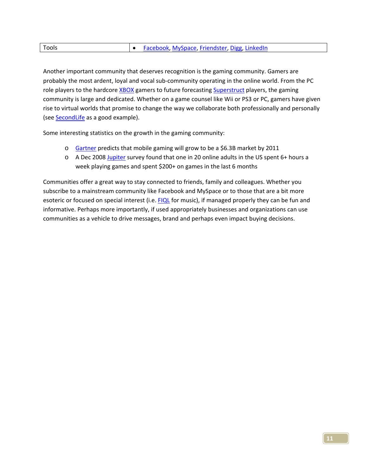| Tools | • Facebook, MySpace, Friendster, Digg, LinkedIn |
|-------|-------------------------------------------------|
|       |                                                 |

Another important community that deserves recognition is the gaming community. Gamers are probably the most ardent, loyal and vocal sub‐community operating in the online world. From the PC role players to the hardcore XBOX gamers to future forecasting Superstruct players, the gaming community is large and dedicated. Whether on a game counsel like Wii or PS3 or PC, gamers have given rise to virtual worlds that promise to change the way we collaborate both professionally and personally (see **SecondLife** as a good example).

Some interesting statistics on the growth in the gaming community:

- o Gartner predicts that mobile gaming will grow to be a \$6.3B market by 2011
- o A Dec 2008 Jupiter survey found that one in 20 online adults in the US spent 6+ hours a week playing games and spent \$200+ on games in the last 6 months

Communities offer a great way to stay connected to friends, family and colleagues. Whether you subscribe to a mainstream community like Facebook and MySpace or to those that are a bit more esoteric or focused on special interest (i.e. FIQL for music), if managed properly they can be fun and informative. Perhaps more importantly, if used appropriately businesses and organizations can use communities as a vehicle to drive messages, brand and perhaps even impact buying decisions.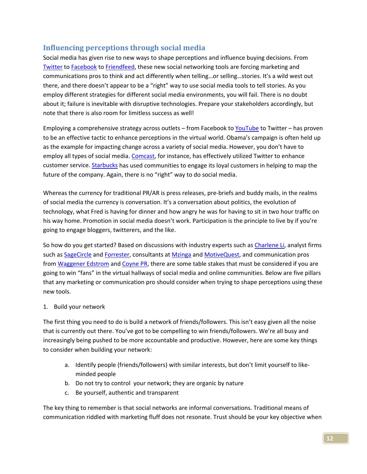## **Influencing perceptions through social media**

Social media has given rise to new ways to shape perceptions and influence buying decisions. From Twitter to Facebook to Friendfeed, these new social networking tools are forcing marketing and communications pros to think and act differently when telling…or selling…stories. It's a wild west out there, and there doesn't appear to be a "right" way to use social media tools to tell stories. As you employ different strategies for different social media environments, you will fail. There is no doubt about it; failure is inevitable with disruptive technologies. Prepare your stakeholders accordingly, but note that there is also room for limitless success as well!

Employing a comprehensive strategy across outlets – from Facebook to YouTube to Twitter – has proven to be an effective tactic to enhance perceptions in the virtual world. Obama's campaign is often held up as the example for impacting change across a variety of social media. However, you don't have to employ all types of social media. Comcast, for instance, has effectively utilized Twitter to enhance customer service. Starbucks has used communities to engage its loyal customers in helping to map the future of the company. Again, there is no "right" way to do social media.

Whereas the currency for traditional PR/AR is press releases, pre-briefs and buddy mails, in the realms of social media the currency is conversation. It's a conversation about politics, the evolution of technology, what Fred is having for dinner and how angry he was for having to sit in two hour traffic on his way home. Promotion in social media doesn't work. Participation is the principle to live by if you're going to engage bloggers, twitterers, and the like.

So how do you get started? Based on discussions with industry experts such as Charlene Li, analyst firms such as SageCircle and Forrester, consultants at Mzinga and MotiveQuest, and communication pros from Waggener Edstrom and Coyne PR, there are some table stakes that must be considered if you are going to win "fans" in the virtual hallways of social media and online communities. Below are five pillars that any marketing or communication pro should consider when trying to shape perceptions using these new tools.

#### 1. Build your network

The first thing you need to do is build a network of friends/followers. This isn't easy given all the noise that is currently out there. You've got to be compelling to win friends/followers. We're all busy and increasingly being pushed to be more accountable and productive. However, here are some key things to consider when building your network:

- a. Identify people (friends/followers) with similar interests, but don't limit yourself to like‐ minded people
- b. Do not try to control your network; they are organic by nature
- c. Be yourself, authentic and transparent

The key thing to remember is that social networks are informal conversations. Traditional means of communication riddled with marketing fluff does not resonate. Trust should be your key objective when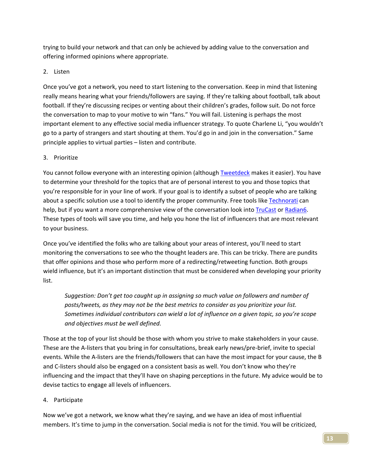trying to build your network and that can only be achieved by adding value to the conversation and offering informed opinions where appropriate.

#### 2. Listen

Once you've got a network, you need to start listening to the conversation. Keep in mind that listening really means hearing what your friends/followers are saying. If they're talking about football, talk about football. If they're discussing recipes or venting about their children's grades, follow suit. Do not force the conversation to map to your motive to win "fans." You will fail. Listening is perhaps the most important element to any effective social media influencer strategy. To quote Charlene Li, "you wouldn't go to a party of strangers and start shouting at them. You'd go in and join in the conversation." Same principle applies to virtual parties – listen and contribute.

#### 3. Prioritize

You cannot follow everyone with an interesting opinion (although Tweetdeck makes it easier). You have to determine your threshold for the topics that are of personal interest to you and those topics that you're responsible for in your line of work. If your goal is to identify a subset of people who are talking about a specific solution use a tool to identify the proper community. Free tools like Technorati can help, but if you want a more comprehensive view of the conversation look into TruCast or Radian6. These types of tools will save you time, and help you hone the list of influencers that are most relevant to your business.

Once you've identified the folks who are talking about your areas of interest, you'll need to start monitoring the conversations to see who the thought leaders are. This can be tricky. There are pundits that offer opinions and those who perform more of a redirecting/retweeting function. Both groups wield influence, but it's an important distinction that must be considered when developing your priority list.

*Suggestion: Don't get too caught up in assigning so much value on followers and number of posts/tweets, as they may not be the best metrics to consider as you prioritize your list. Sometimes individual contributors can wield a lot of influence on a given topic, so you're scope and objectives must be well defined.*

Those at the top of your list should be those with whom you strive to make stakeholders in your cause. These are the A‐listers that you bring in for consultations, break early news/pre‐brief, invite to special events. While the A‐listers are the friends/followers that can have the most impact for your cause, the B and C-listers should also be engaged on a consistent basis as well. You don't know who they're influencing and the impact that they'll have on shaping perceptions in the future. My advice would be to devise tactics to engage all levels of influencers.

#### 4. Participate

Now we've got a network, we know what they're saying, and we have an idea of most influential members. It's time to jump in the conversation. Social media is not for the timid. You will be criticized,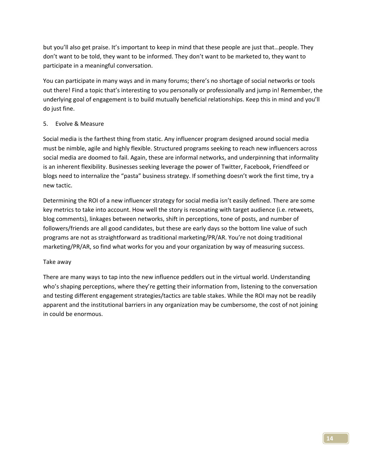but you'll also get praise. It's important to keep in mind that these people are just that…people. They don't want to be told, they want to be informed. They don't want to be marketed to, they want to participate in a meaningful conversation.

You can participate in many ways and in many forums; there's no shortage of social networks or tools out there! Find a topic that's interesting to you personally or professionally and jump in! Remember, the underlying goal of engagement is to build mutually beneficial relationships. Keep this in mind and you'll do just fine.

#### 5. Evolve & Measure

Social media is the farthest thing from static. Any influencer program designed around social media must be nimble, agile and highly flexible. Structured programs seeking to reach new influencers across social media are doomed to fail. Again, these are informal networks, and underpinning that informality is an inherent flexibility. Businesses seeking leverage the power of Twitter, Facebook, Friendfeed or blogs need to internalize the "pasta" business strategy. If something doesn't work the first time, try a new tactic.

Determining the ROI of a new influencer strategy for social media isn't easily defined. There are some key metrics to take into account. How well the story is resonating with target audience (i.e. retweets, blog comments), linkages between networks, shift in perceptions, tone of posts, and number of followers/friends are all good candidates, but these are early days so the bottom line value of such programs are not as straightforward as traditional marketing/PR/AR. You're not doing traditional marketing/PR/AR, so find what works for you and your organization by way of measuring success.

#### Take away

There are many ways to tap into the new influence peddlers out in the virtual world. Understanding who's shaping perceptions, where they're getting their information from, listening to the conversation and testing different engagement strategies/tactics are table stakes. While the ROI may not be readily apparent and the institutional barriers in any organization may be cumbersome, the cost of not joining in could be enormous.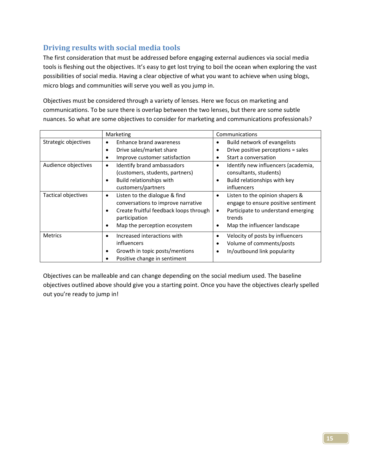## **Driving results with social media tools**

The first consideration that must be addressed before engaging external audiences via social media tools is fleshing out the objectives. It's easy to get lost trying to boil the ocean when exploring the vast possibilities of social media. Having a clear objective of what you want to achieve when using blogs, micro blogs and communities will serve you well as you jump in.

Objectives must be considered through a variety of lenses. Here we focus on marketing and communications. To be sure there is overlap between the two lenses, but there are some subtle nuances. So what are some objectives to consider for marketing and communications professionals?

|                      | Marketing                                                                                                                                                                     | Communications                                                                                                                                                           |  |  |
|----------------------|-------------------------------------------------------------------------------------------------------------------------------------------------------------------------------|--------------------------------------------------------------------------------------------------------------------------------------------------------------------------|--|--|
| Strategic objectives | Enhance brand awareness<br>٠                                                                                                                                                  | Build network of evangelists<br>٠                                                                                                                                        |  |  |
|                      | Drive sales/market share<br>٠                                                                                                                                                 | Drive positive perceptions = sales                                                                                                                                       |  |  |
|                      | Improve customer satisfaction<br>٠                                                                                                                                            | Start a conversation                                                                                                                                                     |  |  |
| Audience objectives  | Identify brand ambassadors<br>$\bullet$                                                                                                                                       | Identify new influencers (academia,<br>٠                                                                                                                                 |  |  |
|                      | (customers, students, partners)                                                                                                                                               | consultants, students)                                                                                                                                                   |  |  |
|                      | Build relationships with<br>٠                                                                                                                                                 | Build relationships with key<br>٠                                                                                                                                        |  |  |
|                      | customers/partners                                                                                                                                                            | influencers                                                                                                                                                              |  |  |
| Tactical objectives  | Listen to the dialogue & find<br>٠<br>conversations to improve narrative<br>Create fruitful feedback loops through<br>٠<br>participation<br>Map the perception ecosystem<br>٠ | Listen to the opinion shapers &<br>٠<br>engage to ensure positive sentiment<br>Participate to understand emerging<br>$\bullet$<br>trends<br>Map the influencer landscape |  |  |
| <b>Metrics</b>       | Increased interactions with<br>٠<br>influencers<br>Growth in topic posts/mentions<br>$\bullet$<br>Positive change in sentiment                                                | Velocity of posts by influencers<br>٠<br>Volume of comments/posts<br>٠<br>In/outbound link popularity<br>٠                                                               |  |  |

Objectives can be malleable and can change depending on the social medium used. The baseline objectives outlined above should give you a starting point. Once you have the objectives clearly spelled out you're ready to jump in!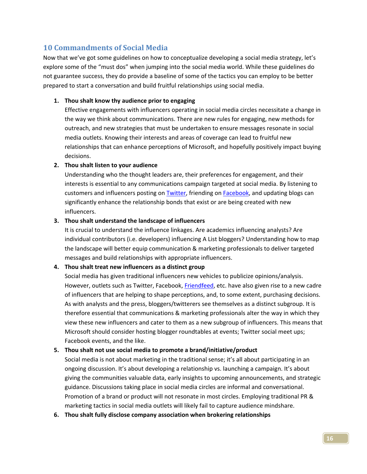## **10 Commandments of Social Media**

Now that we've got some guidelines on how to conceptualize developing a social media strategy, let's explore some of the "must dos" when jumping into the social media world. While these guidelines do not guarantee success, they do provide a baseline of some of the tactics you can employ to be better prepared to start a conversation and build fruitful relationships using social media.

#### **1. Thou shalt know thy audience prior to engaging**

Effective engagements with influencers operating in social media circles necessitate a change in the way we think about communications. There are new rules for engaging, new methods for outreach, and new strategies that must be undertaken to ensure messages resonate in social media outlets. Knowing their interests and areas of coverage can lead to fruitful new relationships that can enhance perceptions of Microsoft, and hopefully positively impact buying decisions.

#### **2. Thou shalt listen to your audience**

Understanding who the thought leaders are, their preferences for engagement, and their interests is essential to any communications campaign targeted at social media. By listening to customers and influencers posting on Twitter, friending on Facebook, and updating blogs can significantly enhance the relationship bonds that exist or are being created with new influencers.

#### **3. Thou shalt understand the landscape of influencers**

It is crucial to understand the influence linkages. Are academics influencing analysts? Are individual contributors (i.e. developers) influencing A List bloggers? Understanding how to map the landscape will better equip communication & marketing professionals to deliver targeted messages and build relationships with appropriate influencers.

#### **4. Thou shalt treat new influencers as a distinct group**

Social media has given traditional influencers new vehicles to publicize opinions/analysis. However, outlets such as Twitter, Facebook, Friendfeed, etc. have also given rise to a new cadre of influencers that are helping to shape perceptions, and, to some extent, purchasing decisions. As with analysts and the press, bloggers/twitterers see themselves as a distinct subgroup. It is therefore essential that communications & marketing professionals alter the way in which they view these new influencers and cater to them as a new subgroup of influencers. This means that Microsoft should consider hosting blogger roundtables at events; Twitter social meet ups; Facebook events, and the like.

#### **5. Thou shalt not use social media to promote a brand/initiative/product**

Social media is not about marketing in the traditional sense; it's all about participating in an ongoing discussion. It's about developing a relationship vs. launching a campaign. It's about giving the communities valuable data, early insights to upcoming announcements, and strategic guidance. Discussions taking place in social media circles are informal and conversational. Promotion of a brand or product will not resonate in most circles. Employing traditional PR & marketing tactics in social media outlets will likely fail to capture audience mindshare.

**6. Thou shalt fully disclose company association when brokering relationships**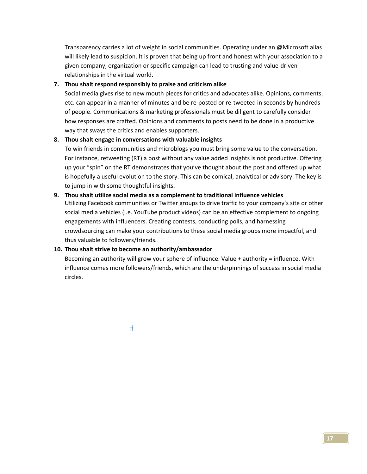Transparency carries a lot of weight in social communities. Operating under an @Microsoft alias will likely lead to suspicion. It is proven that being up front and honest with your association to a given company, organization or specific campaign can lead to trusting and value‐driven relationships in the virtual world.

#### **7. Thou shalt respond responsibly to praise and criticism alike**

Social media gives rise to new mouth pieces for critics and advocates alike. Opinions, comments, etc. can appear in a manner of minutes and be re‐posted or re‐tweeted in seconds by hundreds of people. Communications & marketing professionals must be diligent to carefully consider how responses are crafted. Opinions and comments to posts need to be done in a productive way that sways the critics and enables supporters.

#### **8. Thou shalt engage in conversations with valuable insights**

To win friends in communities and microblogs you must bring some value to the conversation. For instance, retweeting (RT) a post without any value added insights is not productive. Offering up your "spin" on the RT demonstrates that you've thought about the post and offered up what is hopefully a useful evolution to the story. This can be comical, analytical or advisory. The key is to jump in with some thoughtful insights.

#### **9. Thou shalt utilize social media as a complement to traditional influence vehicles**

Utilizing Facebook communities or Twitter groups to drive traffic to your company's site or other social media vehicles (i.e. YouTube product videos) can be an effective complement to ongoing engagements with influencers. Creating contests, conducting polls, and harnessing crowdsourcing can make your contributions to these social media groups more impactful, and thus valuable to followers/friends.

#### **10. Thou shalt strive to become an authority/ambassador**

Becoming an authority will grow your sphere of influence. Value + authority = influence. With influence comes more followers/friends, which are the underpinnings of success in social media circles.

 $#$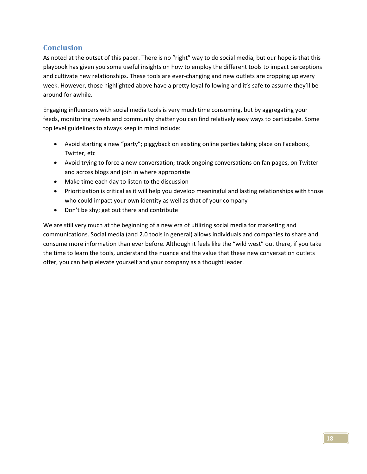## **Conclusion**

As noted at the outset of this paper. There is no "right" way to do social media, but our hope is that this playbook has given you some useful insights on how to employ the different tools to impact perceptions and cultivate new relationships. These tools are ever-changing and new outlets are cropping up every week. However, those highlighted above have a pretty loyal following and it's safe to assume they'll be around for awhile.

Engaging influencers with social media tools is very much time consuming, but by aggregating your feeds, monitoring tweets and community chatter you can find relatively easy ways to participate. Some top level guidelines to always keep in mind include:

- Avoid starting a new "party"; piggyback on existing online parties taking place on Facebook, Twitter, etc
- Avoid trying to force a new conversation; track ongoing conversations on fan pages, on Twitter and across blogs and join in where appropriate
- Make time each day to listen to the discussion
- Prioritization is critical as it will help you develop meaningful and lasting relationships with those who could impact your own identity as well as that of your company
- Don't be shy; get out there and contribute

We are still very much at the beginning of a new era of utilizing social media for marketing and communications. Social media (and 2.0 tools in general) allows individuals and companies to share and consume more information than ever before. Although it feels like the "wild west" out there, if you take the time to learn the tools, understand the nuance and the value that these new conversation outlets offer, you can help elevate yourself and your company as a thought leader.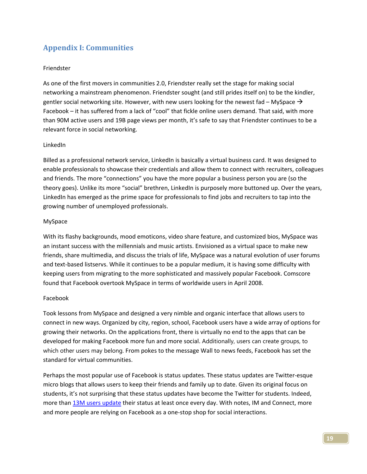# **Appendix I: Communities**

#### Friendster

As one of the first movers in communities 2.0, Friendster really set the stage for making social networking a mainstream phenomenon. Friendster sought (and still prides itself on) to be the kindler, gentler social networking site. However, with new users looking for the newest fad – MySpace  $\rightarrow$ Facebook – it has suffered from a lack of "cool" that fickle online users demand. That said, with more than 90M active users and 19B page views per month, it's safe to say that Friendster continues to be a relevant force in social networking.

#### LinkedIn

Billed as a professional network service, LinkedIn is basically a virtual business card. It was designed to enable professionals to showcase their credentials and allow them to connect with recruiters, colleagues and friends. The more "connections" you have the more popular a business person you are (so the theory goes). Unlike its more "social" brethren, LinkedIn is purposely more buttoned up. Over the years, LinkedIn has emerged as the prime space for professionals to find jobs and recruiters to tap into the growing number of unemployed professionals.

#### MySpace

With its flashy backgrounds, mood emoticons, video share feature, and customized bios, MySpace was an instant success with the millennials and music artists. Envisioned as a virtual space to make new friends, share multimedia, and discuss the trials of life, MySpace was a natural evolution of user forums and text-based listservs. While it continues to be a popular medium, it is having some difficulty with keeping users from migrating to the more sophisticated and massively popular Facebook. Comscore found that Facebook overtook MySpace in terms of worldwide users in April 2008.

#### Facebook

Took lessons from MySpace and designed a very nimble and organic interface that allows users to connect in new ways. Organized by city, region, school, Facebook users have a wide array of options for growing their networks. On the applications front, there is virtually no end to the apps that can be developed for making Facebook more fun and more social. Additionally, users can create groups, to which other users may belong. From pokes to the message Wall to news feeds, Facebook has set the standard for virtual communities.

Perhaps the most popular use of Facebook is status updates. These status updates are Twitter‐esque micro blogs that allows users to keep their friends and family up to date. Given its original focus on students, it's not surprising that these status updates have become the Twitter for students. Indeed, more than 13M users update their status at least once every day. With notes, IM and Connect, more and more people are relying on Facebook as a one‐stop shop for social interactions.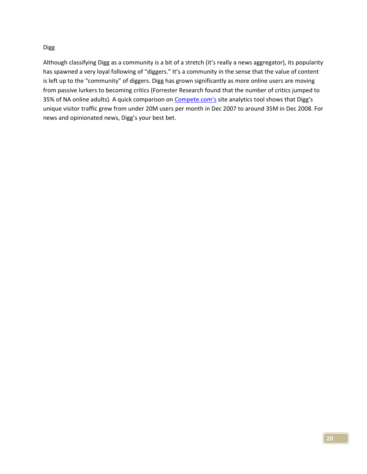#### Digg

Although classifying Digg as a community is a bit of a stretch (it's really a news aggregator), its popularity has spawned a very loyal following of "diggers." It's a community in the sense that the value of content is left up to the "community" of diggers. Digg has grown significantly as more online users are moving from passive lurkers to becoming critics (Forrester Research found that the number of critics jumped to 35% of NA online adults). A quick comparison on **Compete.com's** site analytics tool shows that Digg's unique visitor traffic grew from under 20M users per month in Dec 2007 to around 35M in Dec 2008. For news and opinionated news, Digg's your best bet.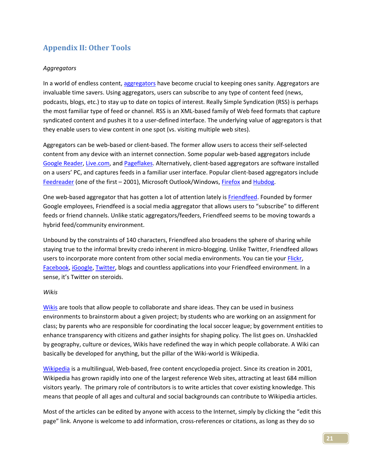# **Appendix II: Other Tools**

#### *Aggregators*

In a world of endless content, aggregators have become crucial to keeping ones sanity. Aggregators are invaluable time savers. Using aggregators, users can subscribe to any type of content feed (news, podcasts, blogs, etc.) to stay up to date on topics of interest. Really Simple Syndication (RSS) is perhaps the most familiar type of feed or channel. RSS is an XML‐based family of Web feed formats that capture syndicated content and pushes it to a user-defined interface. The underlying value of aggregators is that they enable users to view content in one spot (vs. visiting multiple web sites).

Aggregators can be web‐based or client‐based. The former allow users to access their self‐selected content from any device with an internet connection. Some popular web-based aggregators include Google Reader, Live.com, and Pageflakes. Alternatively, client-based aggregators are software installed on a users' PC, and captures feeds in a familiar user interface. Popular client‐based aggregators include Feedreader (one of the first – 2001), Microsoft Outlook/Windows, Firefox and Hubdog.

One web-based aggregator that has gotten a lot of attention lately is Friendfeed. Founded by former Google employees, Friendfeed is a social media aggregator that allows users to "subscribe" to different feeds or friend channels. Unlike static aggregators/feeders, Friendfeed seems to be moving towards a hybrid feed/community environment.

Unbound by the constraints of 140 characters, Friendfeed also broadens the sphere of sharing while staying true to the informal brevity credo inherent in micro‐blogging. Unlike Twitter, Friendfeed allows users to incorporate more content from other social media environments. You can tie your Flickr, Facebook, iGoogle, Twitter, blogs and countless applications into your Friendfeed environment. In a sense, it's Twitter on steroids.

#### *Wikis*

Wikis are tools that allow people to collaborate and share ideas. They can be used in business environments to brainstorm about a given project; by students who are working on an assignment for class; by parents who are responsible for coordinating the local soccer league; by government entities to enhance transparency with citizens and gather insights for shaping policy. The list goes on. Unshackled by geography, culture or devices, Wikis have redefined the way in which people collaborate. A Wiki can basically be developed for anything, but the pillar of the Wiki-world is Wikipedia.

Wikipedia is a multilingual, Web-based, free content encyclopedia project. Since its creation in 2001, Wikipedia has grown rapidly into one of the largest reference Web sites, attracting at least 684 million visitors yearly. The primary role of contributors is to write articles that cover existing knowledge. This means that people of all ages and cultural and social backgrounds can contribute to Wikipedia articles.

Most of the articles can be edited by anyone with access to the Internet, simply by clicking the "edit this page" link. Anyone is welcome to add information, cross-references or citations, as long as they do so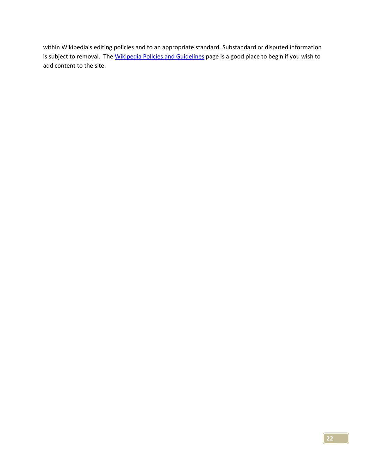within Wikipedia's editing policies and to an appropriate standard. Substandard or disputed information is subject to removal. The Wikipedia Policies and Guidelines page is a good place to begin if you wish to add content to the site.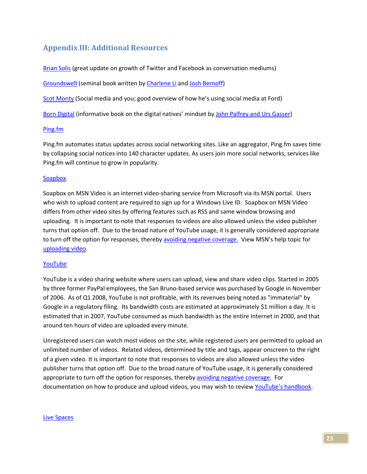## **Appendix III: Additional Resources**

Brian Solis (great update on growth of Twitter and Facebook as conversation mediums)

Groundswell (seminal book written by Charlene Li and Josh Bernoff)

Scot Monty (Social media and you; good overview of how he's using social media at Ford)

Born Digital (informative book on the digital natives' mindset by John Palfrey and Urs Gasser)

#### Ping.fm

Ping.fm automates status updates across social networking sites. Like an aggregator, Ping.fm saves time by collapsing social notices into 140 character updates. As users join more social networks, services like Ping.fm will continue to grow in popularity.

#### Soapbox

Soapbox on MSN Video is an internet video‐sharing service from Microsoft via its MSN portal. Users who wish to upload content are required to sign up for a Windows Live ID. Soapbox on MSN Video differs from other video sites by offering features such as RSS and same window browsing and uploading. It is important to note that responses to videos are also allowed unless the video publisher turns that option off. Due to the broad nature of YouTube usage, it is generally considered appropriate to turn off the option for responses, thereby avoiding negative coverage. View MSN's help topic for uploading video.

#### YouTube

YouTube is a video sharing website where users can upload, view and share video clips. Started in 2005 by three former PayPal employees, the San Bruno‐based service was purchased by Google in November of 2006. As of Q1 2008, YouTube is not profitable, with its revenues being noted as "immaterial" by Google in a regulatory filing. Its bandwidth costs are estimated at approximately \$1 million a day. It is estimated that in 2007, YouTube consumed as much bandwidth as the entire Internet in 2000, and that around ten hours of video are uploaded every minute.

Unregistered users can watch most videos on the site, while registered users are permitted to upload an unlimited number of videos. Related videos, determined by title and tags, appear onscreen to the right of a given video. It is important to note that responses to videos are also allowed unless the video publisher turns that option off. Due to the broad nature of YouTube usage, it is generally considered appropriate to turn off the option for responses, thereby avoiding negative coverage. For documentation on how to produce and upload videos, you may wish to review YouTube's handbook.

#### Live Spaces